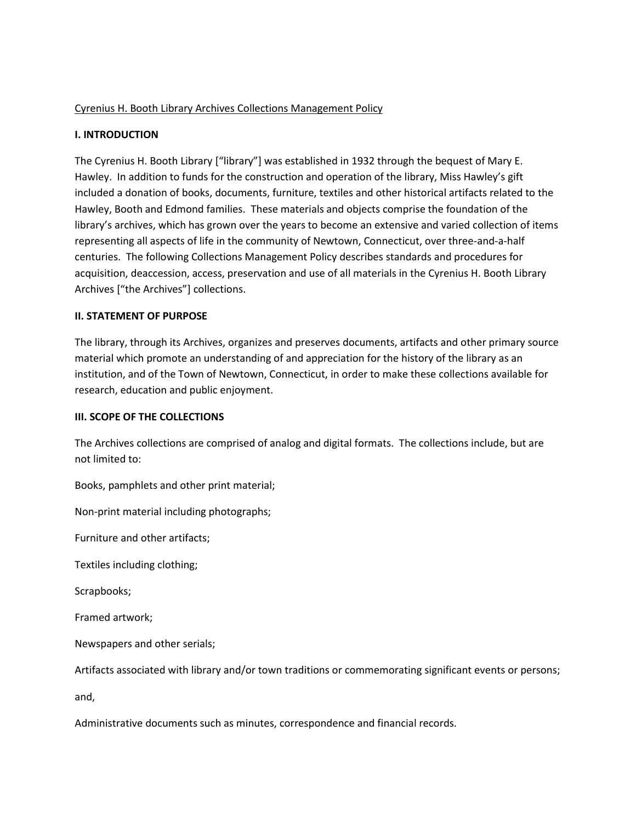### Cyrenius H. Booth Library Archives Collections Management Policy

### **I. INTRODUCTION**

The Cyrenius H. Booth Library ["library"] was established in 1932 through the bequest of Mary E. Hawley. In addition to funds for the construction and operation of the library, Miss Hawley's gift included a donation of books, documents, furniture, textiles and other historical artifacts related to the Hawley, Booth and Edmond families. These materials and objects comprise the foundation of the library's archives, which has grown over the years to become an extensive and varied collection of items representing all aspects of life in the community of Newtown, Connecticut, over three-and-a-half centuries. The following Collections Management Policy describes standards and procedures for acquisition, deaccession, access, preservation and use of all materials in the Cyrenius H. Booth Library Archives ["the Archives"] collections.

#### **II. STATEMENT OF PURPOSE**

The library, through its Archives, organizes and preserves documents, artifacts and other primary source material which promote an understanding of and appreciation for the history of the library as an institution, and of the Town of Newtown, Connecticut, in order to make these collections available for research, education and public enjoyment.

#### **III. SCOPE OF THE COLLECTIONS**

The Archives collections are comprised of analog and digital formats. The collections include, but are not limited to:

Books, pamphlets and other print material;

Non-print material including photographs;

Furniture and other artifacts;

Textiles including clothing;

Scrapbooks;

Framed artwork;

Newspapers and other serials;

Artifacts associated with library and/or town traditions or commemorating significant events or persons;

and,

Administrative documents such as minutes, correspondence and financial records.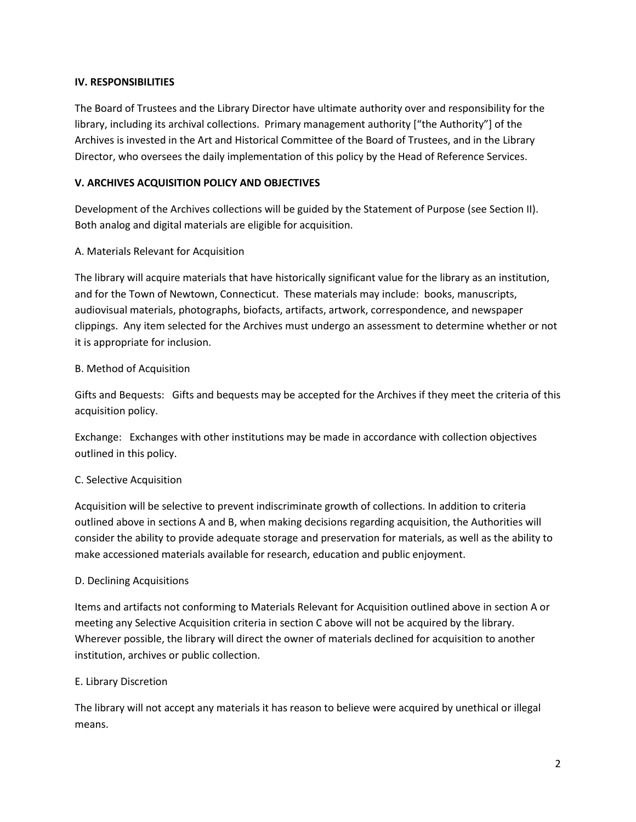### **IV. RESPONSIBILITIES**

The Board of Trustees and the Library Director have ultimate authority over and responsibility for the library, including its archival collections. Primary management authority ["the Authority"] of the Archives is invested in the Art and Historical Committee of the Board of Trustees, and in the Library Director, who oversees the daily implementation of this policy by the Head of Reference Services.

## **V. ARCHIVES ACQUISITION POLICY AND OBJECTIVES**

Development of the Archives collections will be guided by the Statement of Purpose (see Section II). Both analog and digital materials are eligible for acquisition.

## A. Materials Relevant for Acquisition

The library will acquire materials that have historically significant value for the library as an institution, and for the Town of Newtown, Connecticut. These materials may include: books, manuscripts, audiovisual materials, photographs, biofacts, artifacts, artwork, correspondence, and newspaper clippings. Any item selected for the Archives must undergo an assessment to determine whether or not it is appropriate for inclusion.

## B. Method of Acquisition

Gifts and Bequests: Gifts and bequests may be accepted for the Archives if they meet the criteria of this acquisition policy.

Exchange: Exchanges with other institutions may be made in accordance with collection objectives outlined in this policy.

# C. Selective Acquisition

Acquisition will be selective to prevent indiscriminate growth of collections. In addition to criteria outlined above in sections A and B, when making decisions regarding acquisition, the Authorities will consider the ability to provide adequate storage and preservation for materials, as well as the ability to make accessioned materials available for research, education and public enjoyment.

#### D. Declining Acquisitions

Items and artifacts not conforming to Materials Relevant for Acquisition outlined above in section A or meeting any Selective Acquisition criteria in section C above will not be acquired by the library. Wherever possible, the library will direct the owner of materials declined for acquisition to another institution, archives or public collection.

#### E. Library Discretion

The library will not accept any materials it has reason to believe were acquired by unethical or illegal means.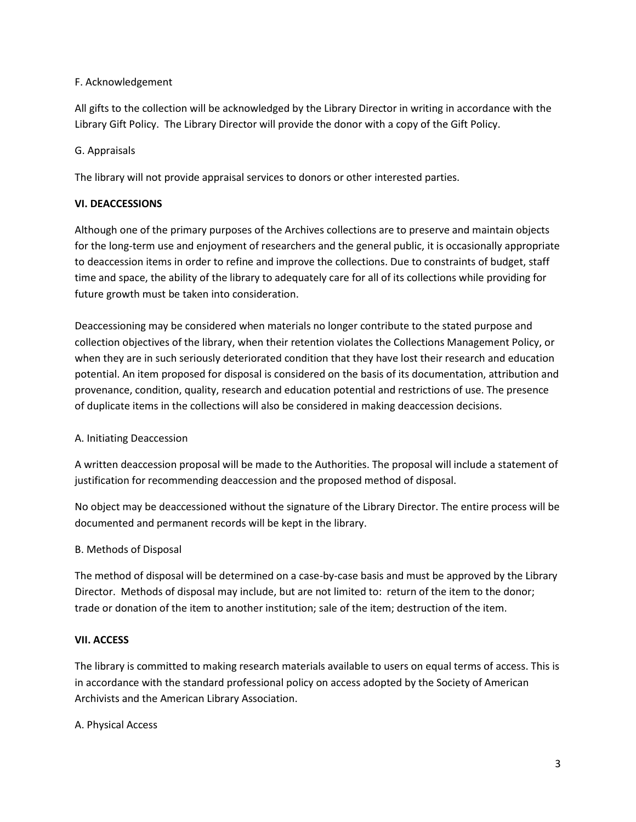## F. Acknowledgement

All gifts to the collection will be acknowledged by the Library Director in writing in accordance with the Library Gift Policy. The Library Director will provide the donor with a copy of the Gift Policy.

## G. Appraisals

The library will not provide appraisal services to donors or other interested parties.

## **VI. DEACCESSIONS**

Although one of the primary purposes of the Archives collections are to preserve and maintain objects for the long-term use and enjoyment of researchers and the general public, it is occasionally appropriate to deaccession items in order to refine and improve the collections. Due to constraints of budget, staff time and space, the ability of the library to adequately care for all of its collections while providing for future growth must be taken into consideration.

Deaccessioning may be considered when materials no longer contribute to the stated purpose and collection objectives of the library, when their retention violates the Collections Management Policy, or when they are in such seriously deteriorated condition that they have lost their research and education potential. An item proposed for disposal is considered on the basis of its documentation, attribution and provenance, condition, quality, research and education potential and restrictions of use. The presence of duplicate items in the collections will also be considered in making deaccession decisions.

#### A. Initiating Deaccession

A written deaccession proposal will be made to the Authorities. The proposal will include a statement of justification for recommending deaccession and the proposed method of disposal.

No object may be deaccessioned without the signature of the Library Director. The entire process will be documented and permanent records will be kept in the library.

#### B. Methods of Disposal

The method of disposal will be determined on a case-by-case basis and must be approved by the Library Director. Methods of disposal may include, but are not limited to: return of the item to the donor; trade or donation of the item to another institution; sale of the item; destruction of the item.

#### **VII. ACCESS**

The library is committed to making research materials available to users on equal terms of access. This is in accordance with the standard professional policy on access adopted by the Society of American Archivists and the American Library Association.

#### A. Physical Access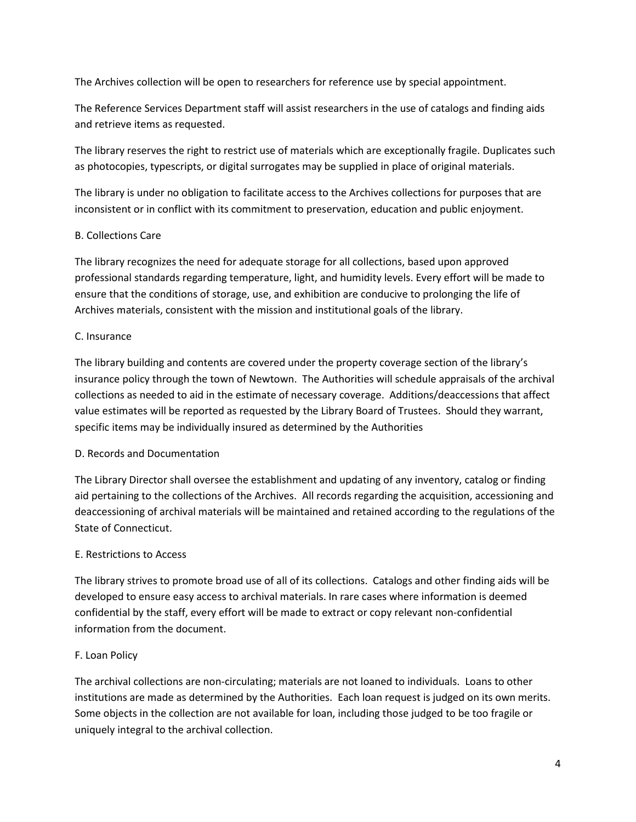The Archives collection will be open to researchers for reference use by special appointment.

The Reference Services Department staff will assist researchers in the use of catalogs and finding aids and retrieve items as requested.

The library reserves the right to restrict use of materials which are exceptionally fragile. Duplicates such as photocopies, typescripts, or digital surrogates may be supplied in place of original materials.

The library is under no obligation to facilitate access to the Archives collections for purposes that are inconsistent or in conflict with its commitment to preservation, education and public enjoyment.

# B. Collections Care

The library recognizes the need for adequate storage for all collections, based upon approved professional standards regarding temperature, light, and humidity levels. Every effort will be made to ensure that the conditions of storage, use, and exhibition are conducive to prolonging the life of Archives materials, consistent with the mission and institutional goals of the library.

# C. Insurance

The library building and contents are covered under the property coverage section of the library's insurance policy through the town of Newtown. The Authorities will schedule appraisals of the archival collections as needed to aid in the estimate of necessary coverage. Additions/deaccessions that affect value estimates will be reported as requested by the Library Board of Trustees. Should they warrant, specific items may be individually insured as determined by the Authorities

# D. Records and Documentation

The Library Director shall oversee the establishment and updating of any inventory, catalog or finding aid pertaining to the collections of the Archives. All records regarding the acquisition, accessioning and deaccessioning of archival materials will be maintained and retained according to the regulations of the State of Connecticut.

# E. Restrictions to Access

The library strives to promote broad use of all of its collections. Catalogs and other finding aids will be developed to ensure easy access to archival materials. In rare cases where information is deemed confidential by the staff, every effort will be made to extract or copy relevant non-confidential information from the document.

#### F. Loan Policy

The archival collections are non-circulating; materials are not loaned to individuals. Loans to other institutions are made as determined by the Authorities. Each loan request is judged on its own merits. Some objects in the collection are not available for loan, including those judged to be too fragile or uniquely integral to the archival collection.